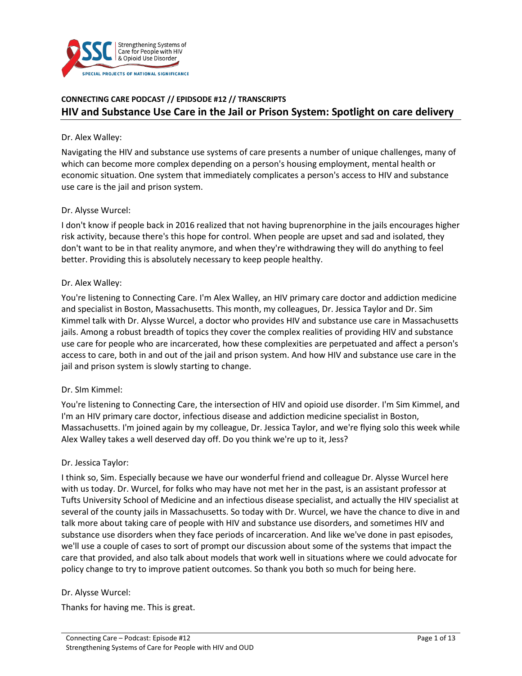

# **CONNECTING CARE PODCAST // EPIDSODE #12 // TRANSCRIPTS HIV and Substance Use Care in the Jail or Prison System: Spotlight on care delivery**

#### Dr. Alex Walley:

Navigating the HIV and substance use systems of care presents a number of unique challenges, many of which can become more complex depending on a person's housing employment, mental health or economic situation. One system that immediately complicates a person's access to HIV and substance use care is the jail and prison system.

#### Dr. Alysse Wurcel:

I don't know if people back in 2016 realized that not having buprenorphine in the jails encourages higher risk activity, because there's this hope for control. When people are upset and sad and isolated, they don't want to be in that reality anymore, and when they're withdrawing they will do anything to feel better. Providing this is absolutely necessary to keep people healthy.

#### Dr. Alex Walley:

You're listening to Connecting Care. I'm Alex Walley, an HIV primary care doctor and addiction medicine and specialist in Boston, Massachusetts. This month, my colleagues, Dr. Jessica Taylor and Dr. Sim Kimmel talk with Dr. Alysse Wurcel, a doctor who provides HIV and substance use care in Massachusetts jails. Among a robust breadth of topics they cover the complex realities of providing HIV and substance use care for people who are incarcerated, how these complexities are perpetuated and affect a person's access to care, both in and out of the jail and prison system. And how HIV and substance use care in the jail and prison system is slowly starting to change.

#### Dr. SIm Kimmel:

You're listening to Connecting Care, the intersection of HIV and opioid use disorder. I'm Sim Kimmel, and I'm an HIV primary care doctor, infectious disease and addiction medicine specialist in Boston, Massachusetts. I'm joined again by my colleague, Dr. Jessica Taylor, and we're flying solo this week while Alex Walley takes a well deserved day off. Do you think we're up to it, Jess?

#### Dr. Jessica Taylor:

I think so, Sim. Especially because we have our wonderful friend and colleague Dr. Alysse Wurcel here with us today. Dr. Wurcel, for folks who may have not met her in the past, is an assistant professor at Tufts University School of Medicine and an infectious disease specialist, and actually the HIV specialist at several of the county jails in Massachusetts. So today with Dr. Wurcel, we have the chance to dive in and talk more about taking care of people with HIV and substance use disorders, and sometimes HIV and substance use disorders when they face periods of incarceration. And like we've done in past episodes, we'll use a couple of cases to sort of prompt our discussion about some of the systems that impact the care that provided, and also talk about models that work well in situations where we could advocate for policy change to try to improve patient outcomes. So thank you both so much for being here.

#### Dr. Alysse Wurcel:

Thanks for having me. This is great.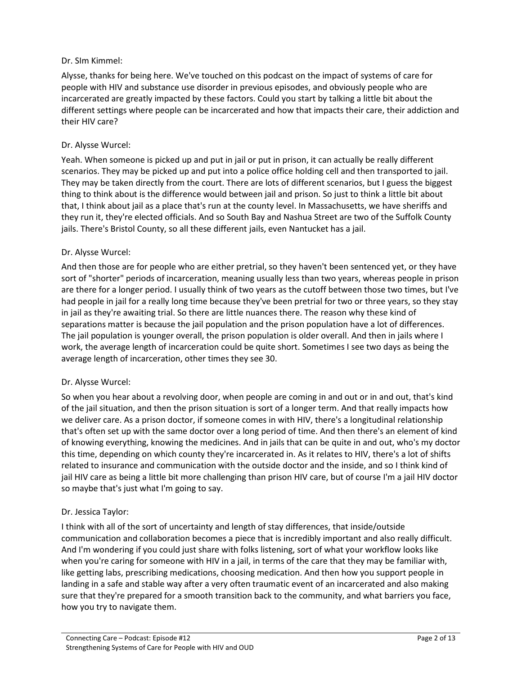### Dr. SIm Kimmel:

Alysse, thanks for being here. We've touched on this podcast on the impact of systems of care for people with HIV and substance use disorder in previous episodes, and obviously people who are incarcerated are greatly impacted by these factors. Could you start by talking a little bit about the different settings where people can be incarcerated and how that impacts their care, their addiction and their HIV care?

#### Dr. Alysse Wurcel:

Yeah. When someone is picked up and put in jail or put in prison, it can actually be really different scenarios. They may be picked up and put into a police office holding cell and then transported to jail. They may be taken directly from the court. There are lots of different scenarios, but I guess the biggest thing to think about is the difference would between jail and prison. So just to think a little bit about that, I think about jail as a place that's run at the county level. In Massachusetts, we have sheriffs and they run it, they're elected officials. And so South Bay and Nashua Street are two of the Suffolk County jails. There's Bristol County, so all these different jails, even Nantucket has a jail.

### Dr. Alysse Wurcel:

And then those are for people who are either pretrial, so they haven't been sentenced yet, or they have sort of "shorter" periods of incarceration, meaning usually less than two years, whereas people in prison are there for a longer period. I usually think of two years as the cutoff between those two times, but I've had people in jail for a really long time because they've been pretrial for two or three years, so they stay in jail as they're awaiting trial. So there are little nuances there. The reason why these kind of separations matter is because the jail population and the prison population have a lot of differences. The jail population is younger overall, the prison population is older overall. And then in jails where I work, the average length of incarceration could be quite short. Sometimes I see two days as being the average length of incarceration, other times they see 30.

#### Dr. Alysse Wurcel:

So when you hear about a revolving door, when people are coming in and out or in and out, that's kind of the jail situation, and then the prison situation is sort of a longer term. And that really impacts how we deliver care. As a prison doctor, if someone comes in with HIV, there's a longitudinal relationship that's often set up with the same doctor over a long period of time. And then there's an element of kind of knowing everything, knowing the medicines. And in jails that can be quite in and out, who's my doctor this time, depending on which county they're incarcerated in. As it relates to HIV, there's a lot of shifts related to insurance and communication with the outside doctor and the inside, and so I think kind of jail HIV care as being a little bit more challenging than prison HIV care, but of course I'm a jail HIV doctor so maybe that's just what I'm going to say.

## Dr. Jessica Taylor:

I think with all of the sort of uncertainty and length of stay differences, that inside/outside communication and collaboration becomes a piece that is incredibly important and also really difficult. And I'm wondering if you could just share with folks listening, sort of what your workflow looks like when you're caring for someone with HIV in a jail, in terms of the care that they may be familiar with, like getting labs, prescribing medications, choosing medication. And then how you support people in landing in a safe and stable way after a very often traumatic event of an incarcerated and also making sure that they're prepared for a smooth transition back to the community, and what barriers you face, how you try to navigate them.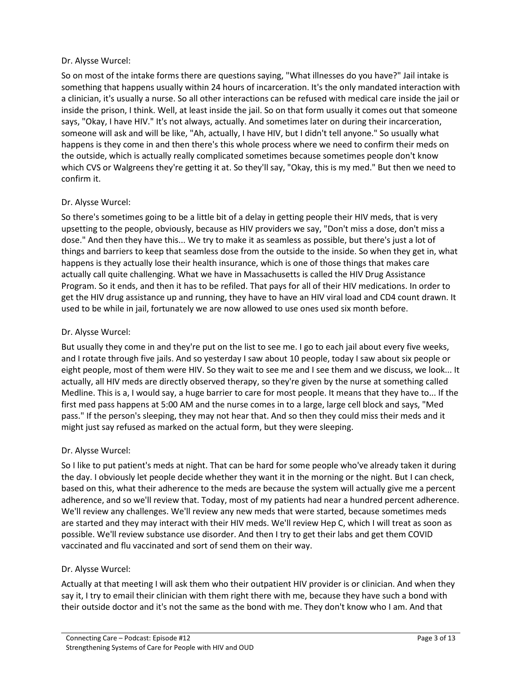### Dr. Alysse Wurcel:

So on most of the intake forms there are questions saying, "What illnesses do you have?" Jail intake is something that happens usually within 24 hours of incarceration. It's the only mandated interaction with a clinician, it's usually a nurse. So all other interactions can be refused with medical care inside the jail or inside the prison, I think. Well, at least inside the jail. So on that form usually it comes out that someone says, "Okay, I have HIV." It's not always, actually. And sometimes later on during their incarceration, someone will ask and will be like, "Ah, actually, I have HIV, but I didn't tell anyone." So usually what happens is they come in and then there's this whole process where we need to confirm their meds on the outside, which is actually really complicated sometimes because sometimes people don't know which CVS or Walgreens they're getting it at. So they'll say, "Okay, this is my med." But then we need to confirm it.

### Dr. Alysse Wurcel:

So there's sometimes going to be a little bit of a delay in getting people their HIV meds, that is very upsetting to the people, obviously, because as HIV providers we say, "Don't miss a dose, don't miss a dose." And then they have this... We try to make it as seamless as possible, but there's just a lot of things and barriers to keep that seamless dose from the outside to the inside. So when they get in, what happens is they actually lose their health insurance, which is one of those things that makes care actually call quite challenging. What we have in Massachusetts is called the HIV Drug Assistance Program. So it ends, and then it has to be refiled. That pays for all of their HIV medications. In order to get the HIV drug assistance up and running, they have to have an HIV viral load and CD4 count drawn. It used to be while in jail, fortunately we are now allowed to use ones used six month before.

### Dr. Alysse Wurcel:

But usually they come in and they're put on the list to see me. I go to each jail about every five weeks, and I rotate through five jails. And so yesterday I saw about 10 people, today I saw about six people or eight people, most of them were HIV. So they wait to see me and I see them and we discuss, we look... It actually, all HIV meds are directly observed therapy, so they're given by the nurse at something called Medline. This is a, I would say, a huge barrier to care for most people. It means that they have to... If the first med pass happens at 5:00 AM and the nurse comes in to a large, large cell block and says, "Med pass." If the person's sleeping, they may not hear that. And so then they could miss their meds and it might just say refused as marked on the actual form, but they were sleeping.

## Dr. Alysse Wurcel:

So I like to put patient's meds at night. That can be hard for some people who've already taken it during the day. I obviously let people decide whether they want it in the morning or the night. But I can check, based on this, what their adherence to the meds are because the system will actually give me a percent adherence, and so we'll review that. Today, most of my patients had near a hundred percent adherence. We'll review any challenges. We'll review any new meds that were started, because sometimes meds are started and they may interact with their HIV meds. We'll review Hep C, which I will treat as soon as possible. We'll review substance use disorder. And then I try to get their labs and get them COVID vaccinated and flu vaccinated and sort of send them on their way.

## Dr. Alysse Wurcel:

Actually at that meeting I will ask them who their outpatient HIV provider is or clinician. And when they say it, I try to email their clinician with them right there with me, because they have such a bond with their outside doctor and it's not the same as the bond with me. They don't know who I am. And that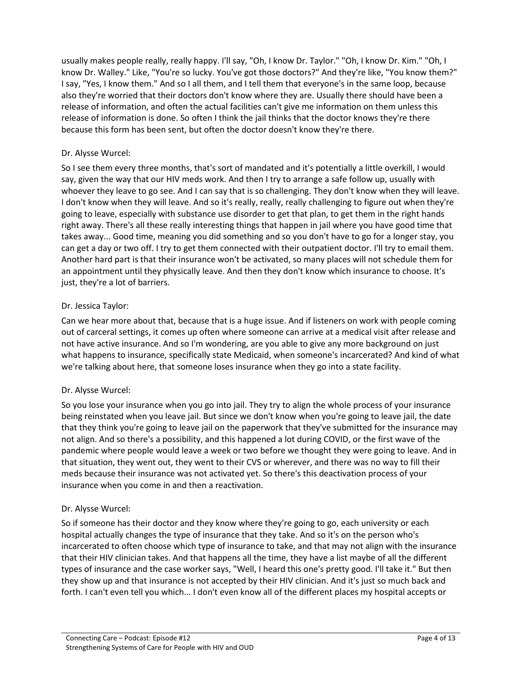usually makes people really, really happy. I'll say, "Oh, I know Dr. Taylor." "Oh, I know Dr. Kim." "Oh, I know Dr. Walley." Like, "You're so lucky. You've got those doctors?" And they're like, "You know them?" I say, "Yes, I know them." And so I all them, and I tell them that everyone's in the same loop, because also they're worried that their doctors don't know where they are. Usually there should have been a release of information, and often the actual facilities can't give me information on them unless this release of information is done. So often I think the jail thinks that the doctor knows they're there because this form has been sent, but often the doctor doesn't know they're there.

## Dr. Alysse Wurcel:

So I see them every three months, that's sort of mandated and it's potentially a little overkill, I would say, given the way that our HIV meds work. And then I try to arrange a safe follow up, usually with whoever they leave to go see. And I can say that is so challenging. They don't know when they will leave. I don't know when they will leave. And so it's really, really, really challenging to figure out when they're going to leave, especially with substance use disorder to get that plan, to get them in the right hands right away. There's all these really interesting things that happen in jail where you have good time that takes away... Good time, meaning you did something and so you don't have to go for a longer stay, you can get a day or two off. I try to get them connected with their outpatient doctor. I'll try to email them. Another hard part is that their insurance won't be activated, so many places will not schedule them for an appointment until they physically leave. And then they don't know which insurance to choose. It's just, they're a lot of barriers.

## Dr. Jessica Taylor:

Can we hear more about that, because that is a huge issue. And if listeners on work with people coming out of carceral settings, it comes up often where someone can arrive at a medical visit after release and not have active insurance. And so I'm wondering, are you able to give any more background on just what happens to insurance, specifically state Medicaid, when someone's incarcerated? And kind of what we're talking about here, that someone loses insurance when they go into a state facility.

## Dr. Alysse Wurcel:

So you lose your insurance when you go into jail. They try to align the whole process of your insurance being reinstated when you leave jail. But since we don't know when you're going to leave jail, the date that they think you're going to leave jail on the paperwork that they've submitted for the insurance may not align. And so there's a possibility, and this happened a lot during COVID, or the first wave of the pandemic where people would leave a week or two before we thought they were going to leave. And in that situation, they went out, they went to their CVS or wherever, and there was no way to fill their meds because their insurance was not activated yet. So there's this deactivation process of your insurance when you come in and then a reactivation.

## Dr. Alysse Wurcel:

So if someone has their doctor and they know where they're going to go, each university or each hospital actually changes the type of insurance that they take. And so it's on the person who's incarcerated to often choose which type of insurance to take, and that may not align with the insurance that their HIV clinician takes. And that happens all the time, they have a list maybe of all the different types of insurance and the case worker says, "Well, I heard this one's pretty good. I'll take it." But then they show up and that insurance is not accepted by their HIV clinician. And it's just so much back and forth. I can't even tell you which... I don't even know all of the different places my hospital accepts or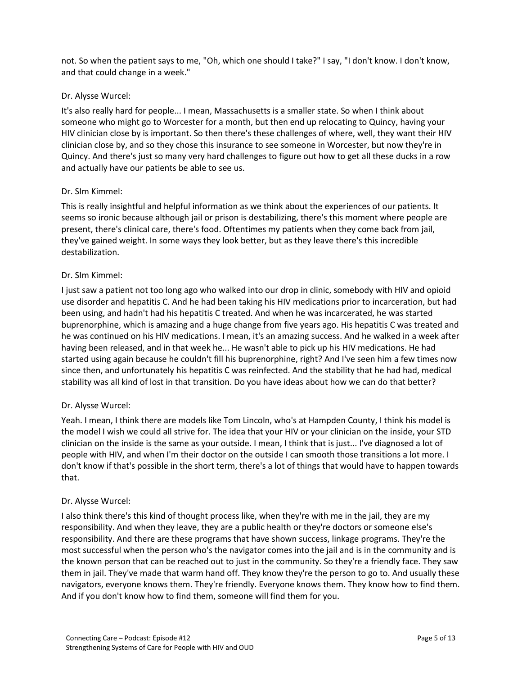not. So when the patient says to me, "Oh, which one should I take?" I say, "I don't know. I don't know, and that could change in a week."

## Dr. Alysse Wurcel:

It's also really hard for people... I mean, Massachusetts is a smaller state. So when I think about someone who might go to Worcester for a month, but then end up relocating to Quincy, having your HIV clinician close by is important. So then there's these challenges of where, well, they want their HIV clinician close by, and so they chose this insurance to see someone in Worcester, but now they're in Quincy. And there's just so many very hard challenges to figure out how to get all these ducks in a row and actually have our patients be able to see us.

### Dr. SIm Kimmel:

This is really insightful and helpful information as we think about the experiences of our patients. It seems so ironic because although jail or prison is destabilizing, there's this moment where people are present, there's clinical care, there's food. Oftentimes my patients when they come back from jail, they've gained weight. In some ways they look better, but as they leave there's this incredible destabilization.

#### Dr. SIm Kimmel:

I just saw a patient not too long ago who walked into our drop in clinic, somebody with HIV and opioid use disorder and hepatitis C. And he had been taking his HIV medications prior to incarceration, but had been using, and hadn't had his hepatitis C treated. And when he was incarcerated, he was started buprenorphine, which is amazing and a huge change from five years ago. His hepatitis C was treated and he was continued on his HIV medications. I mean, it's an amazing success. And he walked in a week after having been released, and in that week he... He wasn't able to pick up his HIV medications. He had started using again because he couldn't fill his buprenorphine, right? And I've seen him a few times now since then, and unfortunately his hepatitis C was reinfected. And the stability that he had had, medical stability was all kind of lost in that transition. Do you have ideas about how we can do that better?

#### Dr. Alysse Wurcel:

Yeah. I mean, I think there are models like Tom Lincoln, who's at Hampden County, I think his model is the model I wish we could all strive for. The idea that your HIV or your clinician on the inside, your STD clinician on the inside is the same as your outside. I mean, I think that is just... I've diagnosed a lot of people with HIV, and when I'm their doctor on the outside I can smooth those transitions a lot more. I don't know if that's possible in the short term, there's a lot of things that would have to happen towards that.

#### Dr. Alysse Wurcel:

I also think there's this kind of thought process like, when they're with me in the jail, they are my responsibility. And when they leave, they are a public health or they're doctors or someone else's responsibility. And there are these programs that have shown success, linkage programs. They're the most successful when the person who's the navigator comes into the jail and is in the community and is the known person that can be reached out to just in the community. So they're a friendly face. They saw them in jail. They've made that warm hand off. They know they're the person to go to. And usually these navigators, everyone knows them. They're friendly. Everyone knows them. They know how to find them. And if you don't know how to find them, someone will find them for you.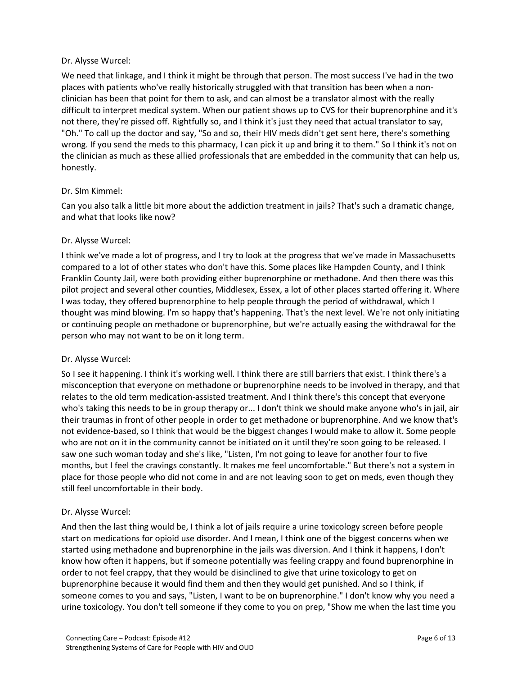### Dr. Alysse Wurcel:

We need that linkage, and I think it might be through that person. The most success I've had in the two places with patients who've really historically struggled with that transition has been when a nonclinician has been that point for them to ask, and can almost be a translator almost with the really difficult to interpret medical system. When our patient shows up to CVS for their buprenorphine and it's not there, they're pissed off. Rightfully so, and I think it's just they need that actual translator to say, "Oh." To call up the doctor and say, "So and so, their HIV meds didn't get sent here, there's something wrong. If you send the meds to this pharmacy, I can pick it up and bring it to them." So I think it's not on the clinician as much as these allied professionals that are embedded in the community that can help us, honestly.

### Dr. SIm Kimmel:

Can you also talk a little bit more about the addiction treatment in jails? That's such a dramatic change, and what that looks like now?

### Dr. Alysse Wurcel:

I think we've made a lot of progress, and I try to look at the progress that we've made in Massachusetts compared to a lot of other states who don't have this. Some places like Hampden County, and I think Franklin County Jail, were both providing either buprenorphine or methadone. And then there was this pilot project and several other counties, Middlesex, Essex, a lot of other places started offering it. Where I was today, they offered buprenorphine to help people through the period of withdrawal, which I thought was mind blowing. I'm so happy that's happening. That's the next level. We're not only initiating or continuing people on methadone or buprenorphine, but we're actually easing the withdrawal for the person who may not want to be on it long term.

#### Dr. Alysse Wurcel:

So I see it happening. I think it's working well. I think there are still barriers that exist. I think there's a misconception that everyone on methadone or buprenorphine needs to be involved in therapy, and that relates to the old term medication-assisted treatment. And I think there's this concept that everyone who's taking this needs to be in group therapy or... I don't think we should make anyone who's in jail, air their traumas in front of other people in order to get methadone or buprenorphine. And we know that's not evidence-based, so I think that would be the biggest changes I would make to allow it. Some people who are not on it in the community cannot be initiated on it until they're soon going to be released. I saw one such woman today and she's like, "Listen, I'm not going to leave for another four to five months, but I feel the cravings constantly. It makes me feel uncomfortable." But there's not a system in place for those people who did not come in and are not leaving soon to get on meds, even though they still feel uncomfortable in their body.

## Dr. Alysse Wurcel:

And then the last thing would be, I think a lot of jails require a urine toxicology screen before people start on medications for opioid use disorder. And I mean, I think one of the biggest concerns when we started using methadone and buprenorphine in the jails was diversion. And I think it happens, I don't know how often it happens, but if someone potentially was feeling crappy and found buprenorphine in order to not feel crappy, that they would be disinclined to give that urine toxicology to get on buprenorphine because it would find them and then they would get punished. And so I think, if someone comes to you and says, "Listen, I want to be on buprenorphine." I don't know why you need a urine toxicology. You don't tell someone if they come to you on prep, "Show me when the last time you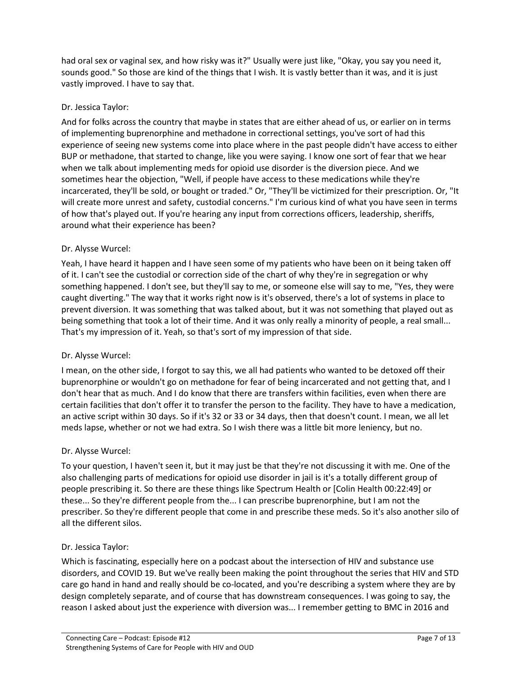had oral sex or vaginal sex, and how risky was it?" Usually were just like, "Okay, you say you need it, sounds good." So those are kind of the things that I wish. It is vastly better than it was, and it is just vastly improved. I have to say that.

## Dr. Jessica Taylor:

And for folks across the country that maybe in states that are either ahead of us, or earlier on in terms of implementing buprenorphine and methadone in correctional settings, you've sort of had this experience of seeing new systems come into place where in the past people didn't have access to either BUP or methadone, that started to change, like you were saying. I know one sort of fear that we hear when we talk about implementing meds for opioid use disorder is the diversion piece. And we sometimes hear the objection, "Well, if people have access to these medications while they're incarcerated, they'll be sold, or bought or traded." Or, "They'll be victimized for their prescription. Or, "It will create more unrest and safety, custodial concerns." I'm curious kind of what you have seen in terms of how that's played out. If you're hearing any input from corrections officers, leadership, sheriffs, around what their experience has been?

## Dr. Alysse Wurcel:

Yeah, I have heard it happen and I have seen some of my patients who have been on it being taken off of it. I can't see the custodial or correction side of the chart of why they're in segregation or why something happened. I don't see, but they'll say to me, or someone else will say to me, "Yes, they were caught diverting." The way that it works right now is it's observed, there's a lot of systems in place to prevent diversion. It was something that was talked about, but it was not something that played out as being something that took a lot of their time. And it was only really a minority of people, a real small... That's my impression of it. Yeah, so that's sort of my impression of that side.

## Dr. Alysse Wurcel:

I mean, on the other side, I forgot to say this, we all had patients who wanted to be detoxed off their buprenorphine or wouldn't go on methadone for fear of being incarcerated and not getting that, and I don't hear that as much. And I do know that there are transfers within facilities, even when there are certain facilities that don't offer it to transfer the person to the facility. They have to have a medication, an active script within 30 days. So if it's 32 or 33 or 34 days, then that doesn't count. I mean, we all let meds lapse, whether or not we had extra. So I wish there was a little bit more leniency, but no.

## Dr. Alysse Wurcel:

To your question, I haven't seen it, but it may just be that they're not discussing it with me. One of the also challenging parts of medications for opioid use disorder in jail is it's a totally different group of people prescribing it. So there are these things like Spectrum Health or [Colin Health 00:22:49] or these... So they're different people from the... I can prescribe buprenorphine, but I am not the prescriber. So they're different people that come in and prescribe these meds. So it's also another silo of all the different silos.

## Dr. Jessica Taylor:

Which is fascinating, especially here on a podcast about the intersection of HIV and substance use disorders, and COVID 19. But we've really been making the point throughout the series that HIV and STD care go hand in hand and really should be co-located, and you're describing a system where they are by design completely separate, and of course that has downstream consequences. I was going to say, the reason I asked about just the experience with diversion was... I remember getting to BMC in 2016 and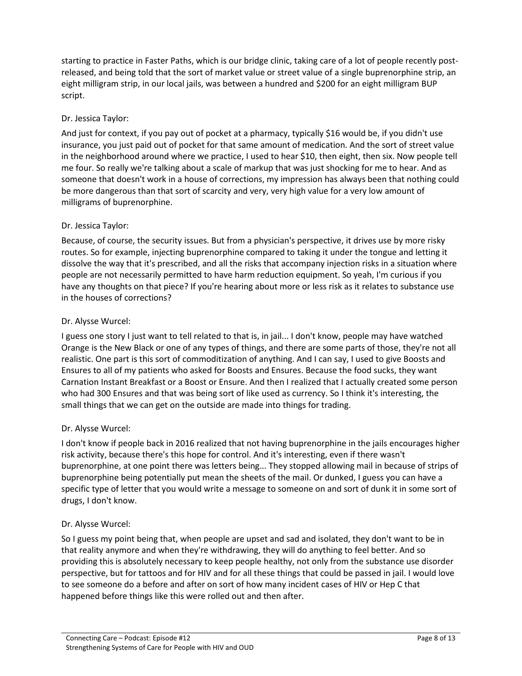starting to practice in Faster Paths, which is our bridge clinic, taking care of a lot of people recently postreleased, and being told that the sort of market value or street value of a single buprenorphine strip, an eight milligram strip, in our local jails, was between a hundred and \$200 for an eight milligram BUP script.

## Dr. Jessica Taylor:

And just for context, if you pay out of pocket at a pharmacy, typically \$16 would be, if you didn't use insurance, you just paid out of pocket for that same amount of medication. And the sort of street value in the neighborhood around where we practice, I used to hear \$10, then eight, then six. Now people tell me four. So really we're talking about a scale of markup that was just shocking for me to hear. And as someone that doesn't work in a house of corrections, my impression has always been that nothing could be more dangerous than that sort of scarcity and very, very high value for a very low amount of milligrams of buprenorphine.

## Dr. Jessica Taylor:

Because, of course, the security issues. But from a physician's perspective, it drives use by more risky routes. So for example, injecting buprenorphine compared to taking it under the tongue and letting it dissolve the way that it's prescribed, and all the risks that accompany injection risks in a situation where people are not necessarily permitted to have harm reduction equipment. So yeah, I'm curious if you have any thoughts on that piece? If you're hearing about more or less risk as it relates to substance use in the houses of corrections?

## Dr. Alysse Wurcel:

I guess one story I just want to tell related to that is, in jail... I don't know, people may have watched Orange is the New Black or one of any types of things, and there are some parts of those, they're not all realistic. One part is this sort of commoditization of anything. And I can say, I used to give Boosts and Ensures to all of my patients who asked for Boosts and Ensures. Because the food sucks, they want Carnation Instant Breakfast or a Boost or Ensure. And then I realized that I actually created some person who had 300 Ensures and that was being sort of like used as currency. So I think it's interesting, the small things that we can get on the outside are made into things for trading.

## Dr. Alysse Wurcel:

I don't know if people back in 2016 realized that not having buprenorphine in the jails encourages higher risk activity, because there's this hope for control. And it's interesting, even if there wasn't buprenorphine, at one point there was letters being... They stopped allowing mail in because of strips of buprenorphine being potentially put mean the sheets of the mail. Or dunked, I guess you can have a specific type of letter that you would write a message to someone on and sort of dunk it in some sort of drugs, I don't know.

## Dr. Alysse Wurcel:

So I guess my point being that, when people are upset and sad and isolated, they don't want to be in that reality anymore and when they're withdrawing, they will do anything to feel better. And so providing this is absolutely necessary to keep people healthy, not only from the substance use disorder perspective, but for tattoos and for HIV and for all these things that could be passed in jail. I would love to see someone do a before and after on sort of how many incident cases of HIV or Hep C that happened before things like this were rolled out and then after.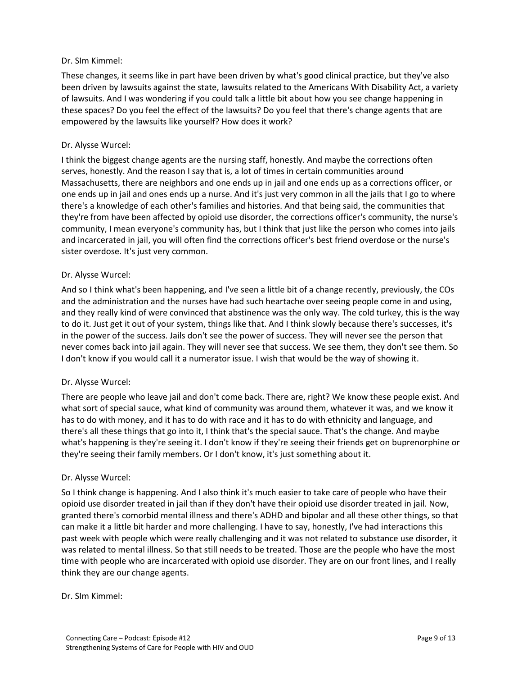### Dr. SIm Kimmel:

These changes, it seems like in part have been driven by what's good clinical practice, but they've also been driven by lawsuits against the state, lawsuits related to the Americans With Disability Act, a variety of lawsuits. And I was wondering if you could talk a little bit about how you see change happening in these spaces? Do you feel the effect of the lawsuits? Do you feel that there's change agents that are empowered by the lawsuits like yourself? How does it work?

#### Dr. Alysse Wurcel:

I think the biggest change agents are the nursing staff, honestly. And maybe the corrections often serves, honestly. And the reason I say that is, a lot of times in certain communities around Massachusetts, there are neighbors and one ends up in jail and one ends up as a corrections officer, or one ends up in jail and ones ends up a nurse. And it's just very common in all the jails that I go to where there's a knowledge of each other's families and histories. And that being said, the communities that they're from have been affected by opioid use disorder, the corrections officer's community, the nurse's community, I mean everyone's community has, but I think that just like the person who comes into jails and incarcerated in jail, you will often find the corrections officer's best friend overdose or the nurse's sister overdose. It's just very common.

### Dr. Alysse Wurcel:

And so I think what's been happening, and I've seen a little bit of a change recently, previously, the COs and the administration and the nurses have had such heartache over seeing people come in and using, and they really kind of were convinced that abstinence was the only way. The cold turkey, this is the way to do it. Just get it out of your system, things like that. And I think slowly because there's successes, it's in the power of the success. Jails don't see the power of success. They will never see the person that never comes back into jail again. They will never see that success. We see them, they don't see them. So I don't know if you would call it a numerator issue. I wish that would be the way of showing it.

#### Dr. Alysse Wurcel:

There are people who leave jail and don't come back. There are, right? We know these people exist. And what sort of special sauce, what kind of community was around them, whatever it was, and we know it has to do with money, and it has to do with race and it has to do with ethnicity and language, and there's all these things that go into it, I think that's the special sauce. That's the change. And maybe what's happening is they're seeing it. I don't know if they're seeing their friends get on buprenorphine or they're seeing their family members. Or I don't know, it's just something about it.

#### Dr. Alysse Wurcel:

So I think change is happening. And I also think it's much easier to take care of people who have their opioid use disorder treated in jail than if they don't have their opioid use disorder treated in jail. Now, granted there's comorbid mental illness and there's ADHD and bipolar and all these other things, so that can make it a little bit harder and more challenging. I have to say, honestly, I've had interactions this past week with people which were really challenging and it was not related to substance use disorder, it was related to mental illness. So that still needs to be treated. Those are the people who have the most time with people who are incarcerated with opioid use disorder. They are on our front lines, and I really think they are our change agents.

#### Dr. SIm Kimmel: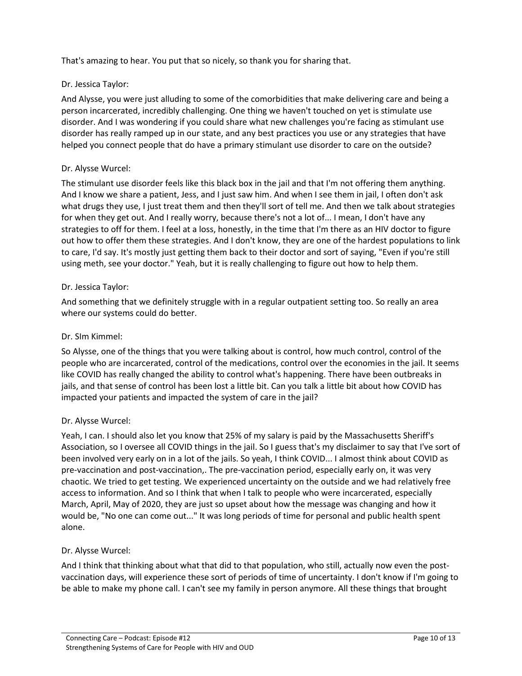That's amazing to hear. You put that so nicely, so thank you for sharing that.

## Dr. Jessica Taylor:

And Alysse, you were just alluding to some of the comorbidities that make delivering care and being a person incarcerated, incredibly challenging. One thing we haven't touched on yet is stimulate use disorder. And I was wondering if you could share what new challenges you're facing as stimulant use disorder has really ramped up in our state, and any best practices you use or any strategies that have helped you connect people that do have a primary stimulant use disorder to care on the outside?

## Dr. Alysse Wurcel:

The stimulant use disorder feels like this black box in the jail and that I'm not offering them anything. And I know we share a patient, Jess, and I just saw him. And when I see them in jail, I often don't ask what drugs they use, I just treat them and then they'll sort of tell me. And then we talk about strategies for when they get out. And I really worry, because there's not a lot of... I mean, I don't have any strategies to off for them. I feel at a loss, honestly, in the time that I'm there as an HIV doctor to figure out how to offer them these strategies. And I don't know, they are one of the hardest populations to link to care, I'd say. It's mostly just getting them back to their doctor and sort of saying, "Even if you're still using meth, see your doctor." Yeah, but it is really challenging to figure out how to help them.

## Dr. Jessica Taylor:

And something that we definitely struggle with in a regular outpatient setting too. So really an area where our systems could do better.

### Dr. SIm Kimmel:

So Alysse, one of the things that you were talking about is control, how much control, control of the people who are incarcerated, control of the medications, control over the economies in the jail. It seems like COVID has really changed the ability to control what's happening. There have been outbreaks in jails, and that sense of control has been lost a little bit. Can you talk a little bit about how COVID has impacted your patients and impacted the system of care in the jail?

## Dr. Alysse Wurcel:

Yeah, I can. I should also let you know that 25% of my salary is paid by the Massachusetts Sheriff's Association, so I oversee all COVID things in the jail. So I guess that's my disclaimer to say that I've sort of been involved very early on in a lot of the jails. So yeah, I think COVID... I almost think about COVID as pre-vaccination and post-vaccination,. The pre-vaccination period, especially early on, it was very chaotic. We tried to get testing. We experienced uncertainty on the outside and we had relatively free access to information. And so I think that when I talk to people who were incarcerated, especially March, April, May of 2020, they are just so upset about how the message was changing and how it would be, "No one can come out..." It was long periods of time for personal and public health spent alone.

#### Dr. Alysse Wurcel:

And I think that thinking about what that did to that population, who still, actually now even the postvaccination days, will experience these sort of periods of time of uncertainty. I don't know if I'm going to be able to make my phone call. I can't see my family in person anymore. All these things that brought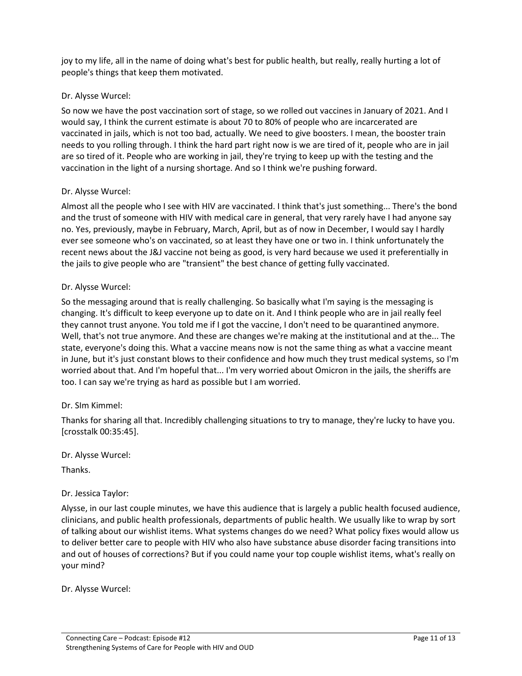joy to my life, all in the name of doing what's best for public health, but really, really hurting a lot of people's things that keep them motivated.

## Dr. Alysse Wurcel:

So now we have the post vaccination sort of stage, so we rolled out vaccines in January of 2021. And I would say, I think the current estimate is about 70 to 80% of people who are incarcerated are vaccinated in jails, which is not too bad, actually. We need to give boosters. I mean, the booster train needs to you rolling through. I think the hard part right now is we are tired of it, people who are in jail are so tired of it. People who are working in jail, they're trying to keep up with the testing and the vaccination in the light of a nursing shortage. And so I think we're pushing forward.

#### Dr. Alysse Wurcel:

Almost all the people who I see with HIV are vaccinated. I think that's just something... There's the bond and the trust of someone with HIV with medical care in general, that very rarely have I had anyone say no. Yes, previously, maybe in February, March, April, but as of now in December, I would say I hardly ever see someone who's on vaccinated, so at least they have one or two in. I think unfortunately the recent news about the J&J vaccine not being as good, is very hard because we used it preferentially in the jails to give people who are "transient" the best chance of getting fully vaccinated.

### Dr. Alysse Wurcel:

So the messaging around that is really challenging. So basically what I'm saying is the messaging is changing. It's difficult to keep everyone up to date on it. And I think people who are in jail really feel they cannot trust anyone. You told me if I got the vaccine, I don't need to be quarantined anymore. Well, that's not true anymore. And these are changes we're making at the institutional and at the... The state, everyone's doing this. What a vaccine means now is not the same thing as what a vaccine meant in June, but it's just constant blows to their confidence and how much they trust medical systems, so I'm worried about that. And I'm hopeful that... I'm very worried about Omicron in the jails, the sheriffs are too. I can say we're trying as hard as possible but I am worried.

## Dr. SIm Kimmel:

Thanks for sharing all that. Incredibly challenging situations to try to manage, they're lucky to have you. [crosstalk 00:35:45].

Dr. Alysse Wurcel:

Thanks.

#### Dr. Jessica Taylor:

Alysse, in our last couple minutes, we have this audience that is largely a public health focused audience, clinicians, and public health professionals, departments of public health. We usually like to wrap by sort of talking about our wishlist items. What systems changes do we need? What policy fixes would allow us to deliver better care to people with HIV who also have substance abuse disorder facing transitions into and out of houses of corrections? But if you could name your top couple wishlist items, what's really on your mind?

Dr. Alysse Wurcel: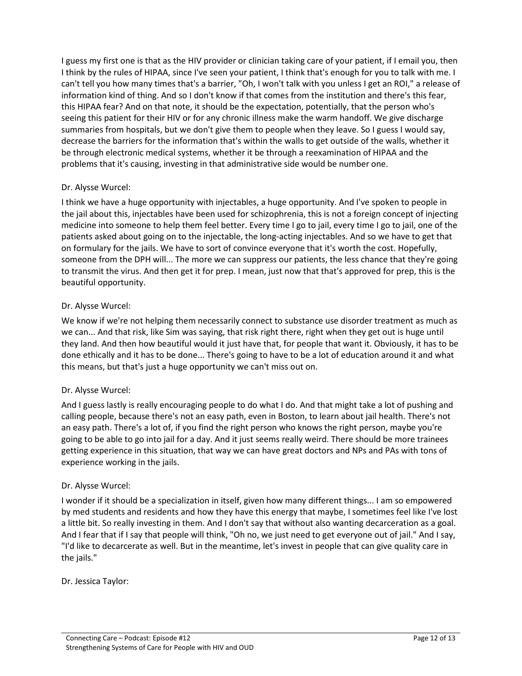I guess my first one is that as the HIV provider or clinician taking care of your patient, if I email you, then I think by the rules of HIPAA, since I've seen your patient, I think that's enough for you to talk with me. I can't tell you how many times that's a barrier, "Oh, I won't talk with you unless I get an ROI," a release of information kind of thing. And so I don't know if that comes from the institution and there's this fear, this HIPAA fear? And on that note, it should be the expectation, potentially, that the person who's seeing this patient for their HIV or for any chronic illness make the warm handoff. We give discharge summaries from hospitals, but we don't give them to people when they leave. So I guess I would say, decrease the barriers for the information that's within the walls to get outside of the walls, whether it be through electronic medical systems, whether it be through a reexamination of HIPAA and the problems that it's causing, investing in that administrative side would be number one.

### Dr. Alysse Wurcel:

I think we have a huge opportunity with injectables, a huge opportunity. And I've spoken to people in the jail about this, injectables have been used for schizophrenia, this is not a foreign concept of injecting medicine into someone to help them feel better. Every time I go to jail, every time I go to jail, one of the patients asked about going on to the injectable, the long-acting injectables. And so we have to get that on formulary for the jails. We have to sort of convince everyone that it's worth the cost. Hopefully, someone from the DPH will... The more we can suppress our patients, the less chance that they're going to transmit the virus. And then get it for prep. I mean, just now that that's approved for prep, this is the beautiful opportunity.

#### Dr. Alysse Wurcel:

We know if we're not helping them necessarily connect to substance use disorder treatment as much as we can... And that risk, like Sim was saying, that risk right there, right when they get out is huge until they land. And then how beautiful would it just have that, for people that want it. Obviously, it has to be done ethically and it has to be done... There's going to have to be a lot of education around it and what this means, but that's just a huge opportunity we can't miss out on.

#### Dr. Alysse Wurcel:

And I guess lastly is really encouraging people to do what I do. And that might take a lot of pushing and calling people, because there's not an easy path, even in Boston, to learn about jail health. There's not an easy path. There's a lot of, if you find the right person who knows the right person, maybe you're going to be able to go into jail for a day. And it just seems really weird. There should be more trainees getting experience in this situation, that way we can have great doctors and NPs and PAs with tons of experience working in the jails.

#### Dr. Alysse Wurcel:

I wonder if it should be a specialization in itself, given how many different things... I am so empowered by med students and residents and how they have this energy that maybe, I sometimes feel like I've lost a little bit. So really investing in them. And I don't say that without also wanting decarceration as a goal. And I fear that if I say that people will think, "Oh no, we just need to get everyone out of jail." And I say, "I'd like to decarcerate as well. But in the meantime, let's invest in people that can give quality care in the jails."

Dr. Jessica Taylor: